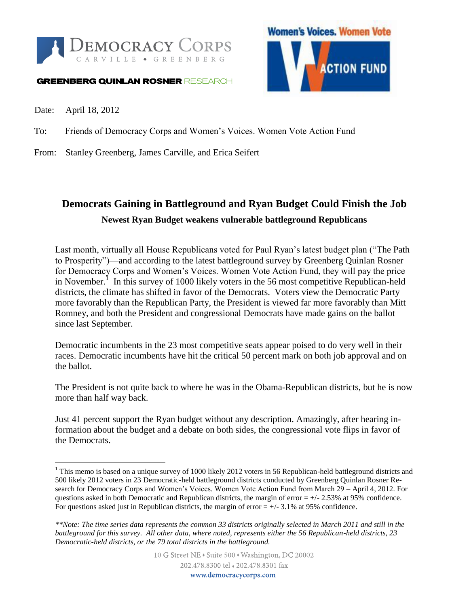

#### **GREENBERG QUINLAN ROSNER RESEARCH**



Date: April 18, 2012

 $\overline{a}$ 

To: Friends of Democracy Corps and Women's Voices. Women Vote Action Fund

From: Stanley Greenberg, James Carville, and Erica Seifert

### **Democrats Gaining in Battleground and Ryan Budget Could Finish the Job Newest Ryan Budget weakens vulnerable battleground Republicans**

Last month, virtually all House Republicans voted for Paul Ryan's latest budget plan ("The Path to Prosperity")—and according to the latest battleground survey by Greenberg Quinlan Rosner for Democracy Corps and Women's Voices. Women Vote Action Fund, they will pay the price in November.<sup>1</sup> In this survey of 1000 likely voters in the 56 most competitive Republican-held districts, the climate has shifted in favor of the Democrats. Voters view the Democratic Party more favorably than the Republican Party, the President is viewed far more favorably than Mitt Romney, and both the President and congressional Democrats have made gains on the ballot since last September.

Democratic incumbents in the 23 most competitive seats appear poised to do very well in their races. Democratic incumbents have hit the critical 50 percent mark on both job approval and on the ballot.

The President is not quite back to where he was in the Obama-Republican districts, but he is now more than half way back.

Just 41 percent support the Ryan budget without any description. Amazingly, after hearing information about the budget and a debate on both sides, the congressional vote flips in favor of the Democrats.

<sup>&</sup>lt;sup>1</sup> This memo is based on a unique survey of 1000 likely 2012 voters in 56 Republican-held battleground districts and 500 likely 2012 voters in 23 Democratic-held battleground districts conducted by Greenberg Quinlan Rosner Research for Democracy Corps and Women's Voices. Women Vote Action Fund from March 29 – April 4, 2012. For questions asked in both Democratic and Republican districts, the margin of error  $= +/2.53\%$  at 95% confidence. For questions asked just in Republican districts, the margin of error  $= +/- 3.1\%$  at 95% confidence.

*<sup>\*\*</sup>Note: The time series data represents the common 33 districts originally selected in March 2011 and still in the battleground for this survey. All other data, where noted, represents either the 56 Republican-held districts, 23 Democratic-held districts, or the 79 total districts in the battleground.*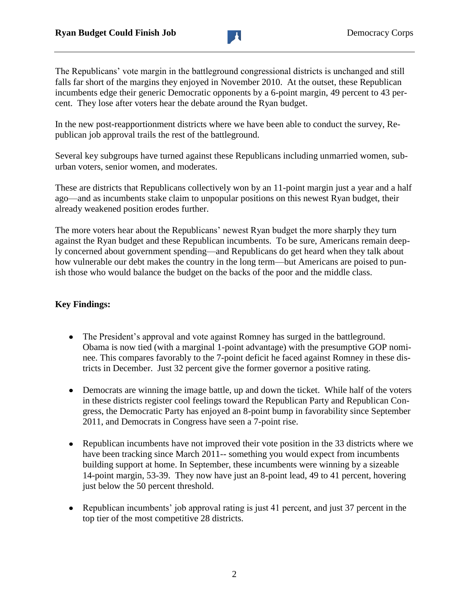

The Republicans' vote margin in the battleground congressional districts is unchanged and still falls far short of the margins they enjoyed in November 2010. At the outset, these Republican incumbents edge their generic Democratic opponents by a 6-point margin, 49 percent to 43 percent. They lose after voters hear the debate around the Ryan budget.

In the new post-reapportionment districts where we have been able to conduct the survey, Republican job approval trails the rest of the battleground.

Several key subgroups have turned against these Republicans including unmarried women, suburban voters, senior women, and moderates.

These are districts that Republicans collectively won by an 11-point margin just a year and a half ago—and as incumbents stake claim to unpopular positions on this newest Ryan budget, their already weakened position erodes further.

The more voters hear about the Republicans' newest Ryan budget the more sharply they turn against the Ryan budget and these Republican incumbents. To be sure, Americans remain deeply concerned about government spending—and Republicans do get heard when they talk about how vulnerable our debt makes the country in the long term—but Americans are poised to punish those who would balance the budget on the backs of the poor and the middle class.

#### **Key Findings:**

- The President's approval and vote against Romney has surged in the battleground. Obama is now tied (with a marginal 1-point advantage) with the presumptive GOP nominee. This compares favorably to the 7-point deficit he faced against Romney in these districts in December. Just 32 percent give the former governor a positive rating.
- Democrats are winning the image battle, up and down the ticket. While half of the voters in these districts register cool feelings toward the Republican Party and Republican Congress, the Democratic Party has enjoyed an 8-point bump in favorability since September 2011, and Democrats in Congress have seen a 7-point rise.
- Republican incumbents have not improved their vote position in the 33 districts where we have been tracking since March 2011-- something you would expect from incumbents building support at home. In September, these incumbents were winning by a sizeable 14-point margin, 53-39. They now have just an 8-point lead, 49 to 41 percent, hovering just below the 50 percent threshold.
- Republican incumbents' job approval rating is just 41 percent, and just 37 percent in the top tier of the most competitive 28 districts.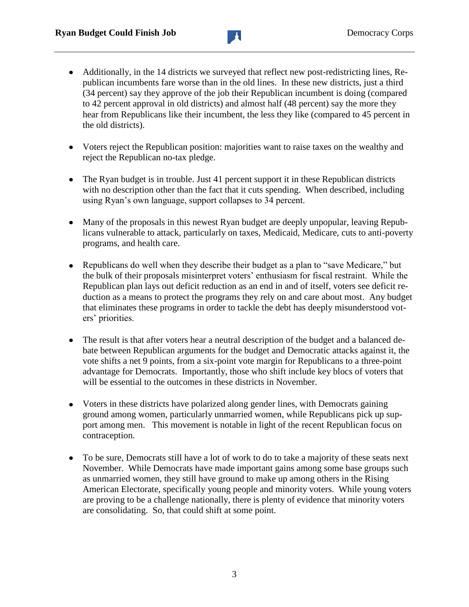

- Additionally, in the 14 districts we surveyed that reflect new post-redistricting lines, Republican incumbents fare worse than in the old lines. In these new districts, just a third (34 percent) say they approve of the job their Republican incumbent is doing (compared to 42 percent approval in old districts) and almost half (48 percent) say the more they hear from Republicans like their incumbent, the less they like (compared to 45 percent in the old districts).
- Voters reject the Republican position: majorities want to raise taxes on the wealthy and reject the Republican no-tax pledge.
- The Ryan budget is in trouble. Just 41 percent support it in these Republican districts with no description other than the fact that it cuts spending. When described, including using Ryan's own language, support collapses to 34 percent.
- Many of the proposals in this newest Ryan budget are deeply unpopular, leaving Republicans vulnerable to attack, particularly on taxes, Medicaid, Medicare, cuts to anti-poverty programs, and health care.
- Republicans do well when they describe their budget as a plan to "save Medicare," but the bulk of their proposals misinterpret voters' enthusiasm for fiscal restraint. While the Republican plan lays out deficit reduction as an end in and of itself, voters see deficit reduction as a means to protect the programs they rely on and care about most. Any budget that eliminates these programs in order to tackle the debt has deeply misunderstood voters' priorities.
- The result is that after voters hear a neutral description of the budget and a balanced de- $\bullet$ bate between Republican arguments for the budget and Democratic attacks against it, the vote shifts a net 9 points, from a six-point vote margin for Republicans to a three-point advantage for Democrats. Importantly, those who shift include key blocs of voters that will be essential to the outcomes in these districts in November.
- Voters in these districts have polarized along gender lines, with Democrats gaining ground among women, particularly unmarried women, while Republicans pick up support among men. This movement is notable in light of the recent Republican focus on contraception.
- To be sure, Democrats still have a lot of work to do to take a majority of these seats next November. While Democrats have made important gains among some base groups such as unmarried women, they still have ground to make up among others in the Rising American Electorate, specifically young people and minority voters. While young voters are proving to be a challenge nationally, there is plenty of evidence that minority voters are consolidating. So, that could shift at some point.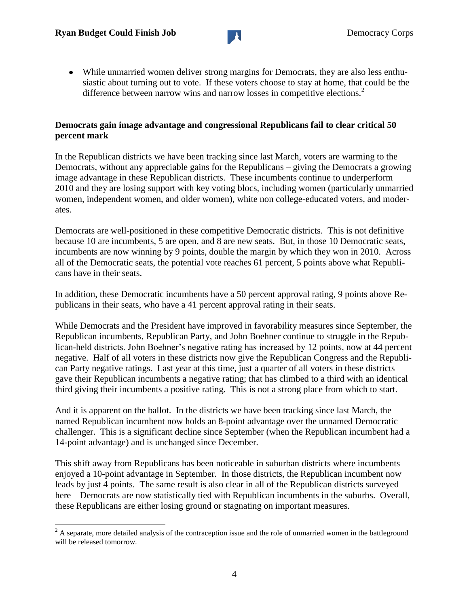$\overline{a}$ 



While unmarried women deliver strong margins for Democrats, they are also less enthusiastic about turning out to vote. If these voters choose to stay at home, that could be the difference between narrow wins and narrow losses in competitive elections.<sup>2</sup>

#### **Democrats gain image advantage and congressional Republicans fail to clear critical 50 percent mark**

In the Republican districts we have been tracking since last March, voters are warming to the Democrats, without any appreciable gains for the Republicans – giving the Democrats a growing image advantage in these Republican districts. These incumbents continue to underperform 2010 and they are losing support with key voting blocs, including women (particularly unmarried women, independent women, and older women), white non college-educated voters, and moderates.

Democrats are well-positioned in these competitive Democratic districts. This is not definitive because 10 are incumbents, 5 are open, and 8 are new seats. But, in those 10 Democratic seats, incumbents are now winning by 9 points, double the margin by which they won in 2010. Across all of the Democratic seats, the potential vote reaches 61 percent, 5 points above what Republicans have in their seats.

In addition, these Democratic incumbents have a 50 percent approval rating, 9 points above Republicans in their seats, who have a 41 percent approval rating in their seats.

While Democrats and the President have improved in favorability measures since September, the Republican incumbents, Republican Party, and John Boehner continue to struggle in the Republican-held districts. John Boehner's negative rating has increased by 12 points, now at 44 percent negative. Half of all voters in these districts now give the Republican Congress and the Republican Party negative ratings. Last year at this time, just a quarter of all voters in these districts gave their Republican incumbents a negative rating; that has climbed to a third with an identical third giving their incumbents a positive rating. This is not a strong place from which to start.

And it is apparent on the ballot. In the districts we have been tracking since last March, the named Republican incumbent now holds an 8-point advantage over the unnamed Democratic challenger. This is a significant decline since September (when the Republican incumbent had a 14-point advantage) and is unchanged since December.

This shift away from Republicans has been noticeable in suburban districts where incumbents enjoyed a 10-point advantage in September. In those districts, the Republican incumbent now leads by just 4 points. The same result is also clear in all of the Republican districts surveyed here—Democrats are now statistically tied with Republican incumbents in the suburbs. Overall, these Republicans are either losing ground or stagnating on important measures.

 $2<sup>2</sup>$  A separate, more detailed analysis of the contraception issue and the role of unmarried women in the battleground will be released tomorrow.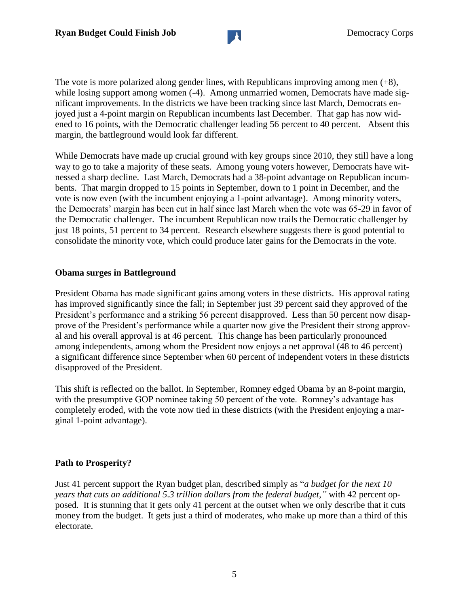

The vote is more polarized along gender lines, with Republicans improving among men  $(+8)$ , while losing support among women (-4). Among unmarried women, Democrats have made significant improvements. In the districts we have been tracking since last March, Democrats enjoyed just a 4-point margin on Republican incumbents last December. That gap has now widened to 16 points, with the Democratic challenger leading 56 percent to 40 percent. Absent this margin, the battleground would look far different.

While Democrats have made up crucial ground with key groups since 2010, they still have a long way to go to take a majority of these seats. Among young voters however, Democrats have witnessed a sharp decline. Last March, Democrats had a 38-point advantage on Republican incumbents. That margin dropped to 15 points in September, down to 1 point in December, and the vote is now even (with the incumbent enjoying a 1-point advantage). Among minority voters, the Democrats' margin has been cut in half since last March when the vote was 65-29 in favor of the Democratic challenger. The incumbent Republican now trails the Democratic challenger by just 18 points, 51 percent to 34 percent. Research elsewhere suggests there is good potential to consolidate the minority vote, which could produce later gains for the Democrats in the vote.

#### **Obama surges in Battleground**

President Obama has made significant gains among voters in these districts. His approval rating has improved significantly since the fall; in September just 39 percent said they approved of the President's performance and a striking 56 percent disapproved. Less than 50 percent now disapprove of the President's performance while a quarter now give the President their strong approval and his overall approval is at 46 percent. This change has been particularly pronounced among independents, among whom the President now enjoys a net approval (48 to 46 percent) a significant difference since September when 60 percent of independent voters in these districts disapproved of the President.

This shift is reflected on the ballot. In September, Romney edged Obama by an 8-point margin, with the presumptive GOP nominee taking 50 percent of the vote. Romney's advantage has completely eroded, with the vote now tied in these districts (with the President enjoying a marginal 1-point advantage).

#### **Path to Prosperity?**

Just 41 percent support the Ryan budget plan, described simply as "*a budget for the next 10 years that cuts an additional 5.3 trillion dollars from the federal budget,"* with 42 percent opposed*.* It is stunning that it gets only 41 percent at the outset when we only describe that it cuts money from the budget. It gets just a third of moderates, who make up more than a third of this electorate.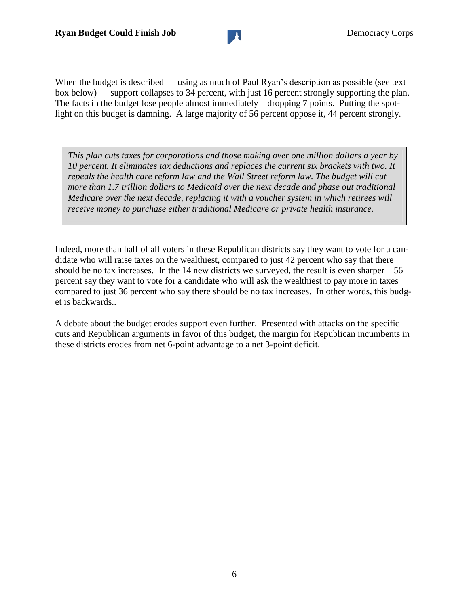

When the budget is described — using as much of Paul Ryan's description as possible (see text) box below) — support collapses to 34 percent, with just 16 percent strongly supporting the plan. The facts in the budget lose people almost immediately – dropping 7 points. Putting the spotlight on this budget is damning. A large majority of 56 percent oppose it, 44 percent strongly.

*This plan cuts taxes for corporations and those making over one million dollars a year by 10 percent. It eliminates tax deductions and replaces the current six brackets with two. It repeals the health care reform law and the Wall Street reform law. The budget will cut more than 1.7 trillion dollars to Medicaid over the next decade and phase out traditional Medicare over the next decade, replacing it with a voucher system in which retirees will receive money to purchase either traditional Medicare or private health insurance.* 

Indeed, more than half of all voters in these Republican districts say they want to vote for a candidate who will raise taxes on the wealthiest, compared to just 42 percent who say that there should be no tax increases. In the 14 new districts we surveyed, the result is even sharper—56 percent say they want to vote for a candidate who will ask the wealthiest to pay more in taxes compared to just 36 percent who say there should be no tax increases. In other words, this budget is backwards..

A debate about the budget erodes support even further. Presented with attacks on the specific cuts and Republican arguments in favor of this budget, the margin for Republican incumbents in these districts erodes from net 6-point advantage to a net 3-point deficit.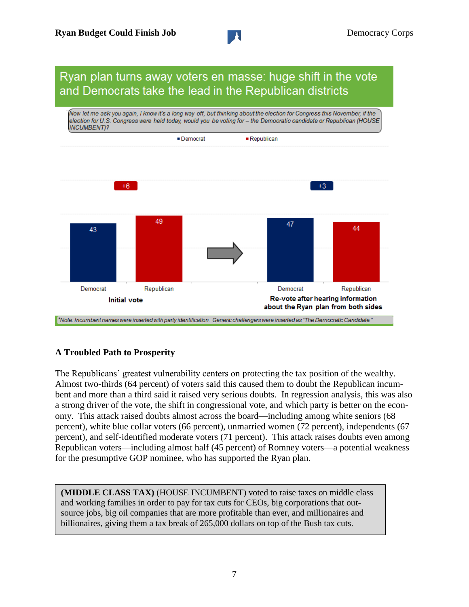### Ryan plan turns away voters en masse: huge shift in the vote and Democrats take the lead in the Republican districts



#### **A Troubled Path to Prosperity**

The Republicans' greatest vulnerability centers on protecting the tax position of the wealthy. Almost two-thirds (64 percent) of voters said this caused them to doubt the Republican incumbent and more than a third said it raised very serious doubts. In regression analysis, this was also a strong driver of the vote, the shift in congressional vote, and which party is better on the economy. This attack raised doubts almost across the board—including among white seniors (68 percent), white blue collar voters (66 percent), unmarried women (72 percent), independents (67 percent), and self-identified moderate voters (71 percent). This attack raises doubts even among Republican voters—including almost half (45 percent) of Romney voters—a potential weakness for the presumptive GOP nominee, who has supported the Ryan plan.

**(MIDDLE CLASS TAX)** (HOUSE INCUMBENT) voted to raise taxes on middle class and working families in order to pay for tax cuts for CEOs, big corporations that outsource jobs, big oil companies that are more profitable than ever, and millionaires and billionaires, giving them a tax break of 265,000 dollars on top of the Bush tax cuts.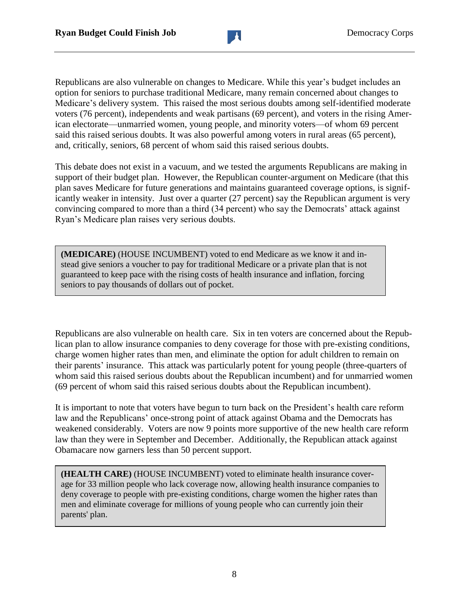Republicans are also vulnerable on changes to Medicare. While this year's budget includes an option for seniors to purchase traditional Medicare, many remain concerned about changes to Medicare's delivery system. This raised the most serious doubts among self-identified moderate voters (76 percent), independents and weak partisans (69 percent), and voters in the rising American electorate—unmarried women, young people, and minority voters—of whom 69 percent said this raised serious doubts. It was also powerful among voters in rural areas (65 percent), and, critically, seniors, 68 percent of whom said this raised serious doubts.

This debate does not exist in a vacuum, and we tested the arguments Republicans are making in support of their budget plan. However, the Republican counter-argument on Medicare (that this plan saves Medicare for future generations and maintains guaranteed coverage options, is significantly weaker in intensity. Just over a quarter (27 percent) say the Republican argument is very convincing compared to more than a third (34 percent) who say the Democrats' attack against Ryan's Medicare plan raises very serious doubts.

**(MEDICARE)** (HOUSE INCUMBENT) voted to end Medicare as we know it and instead give seniors a voucher to pay for traditional Medicare or a private plan that is not guaranteed to keep pace with the rising costs of health insurance and inflation, forcing seniors to pay thousands of dollars out of pocket.

Republicans are also vulnerable on health care. Six in ten voters are concerned about the Republican plan to allow insurance companies to deny coverage for those with pre-existing conditions, charge women higher rates than men, and eliminate the option for adult children to remain on their parents' insurance. This attack was particularly potent for young people (three-quarters of whom said this raised serious doubts about the Republican incumbent) and for unmarried women (69 percent of whom said this raised serious doubts about the Republican incumbent).

It is important to note that voters have begun to turn back on the President's health care reform law and the Republicans' once-strong point of attack against Obama and the Democrats has weakened considerably. Voters are now 9 points more supportive of the new health care reform law than they were in September and December. Additionally, the Republican attack against Obamacare now garners less than 50 percent support.

**(HEALTH CARE)** (HOUSE INCUMBENT) voted to eliminate health insurance coverage for 33 million people who lack coverage now, allowing health insurance companies to deny coverage to people with pre-existing conditions, charge women the higher rates than men and eliminate coverage for millions of young people who can currently join their parents' plan.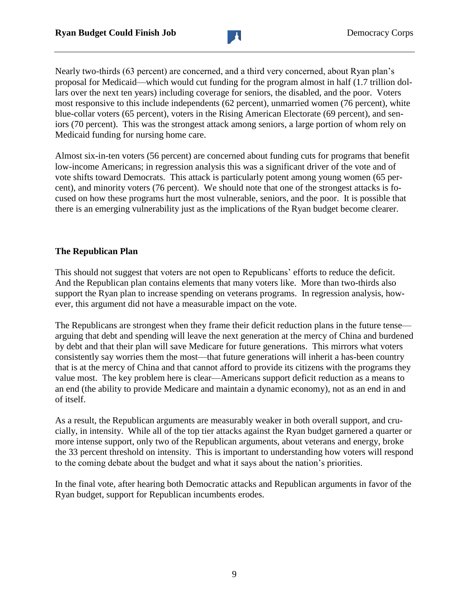

Nearly two-thirds (63 percent) are concerned, and a third very concerned, about Ryan plan's proposal for Medicaid—which would cut funding for the program almost in half (1.7 trillion dollars over the next ten years) including coverage for seniors, the disabled, and the poor. Voters most responsive to this include independents (62 percent), unmarried women (76 percent), white blue-collar voters (65 percent), voters in the Rising American Electorate (69 percent), and seniors (70 percent). This was the strongest attack among seniors, a large portion of whom rely on Medicaid funding for nursing home care.

Almost six-in-ten voters (56 percent) are concerned about funding cuts for programs that benefit low-income Americans; in regression analysis this was a significant driver of the vote and of vote shifts toward Democrats. This attack is particularly potent among young women (65 percent), and minority voters (76 percent). We should note that one of the strongest attacks is focused on how these programs hurt the most vulnerable, seniors, and the poor. It is possible that there is an emerging vulnerability just as the implications of the Ryan budget become clearer.

#### **The Republican Plan**

This should not suggest that voters are not open to Republicans' efforts to reduce the deficit. And the Republican plan contains elements that many voters like. More than two-thirds also support the Ryan plan to increase spending on veterans programs. In regression analysis, however, this argument did not have a measurable impact on the vote.

The Republicans are strongest when they frame their deficit reduction plans in the future tense arguing that debt and spending will leave the next generation at the mercy of China and burdened by debt and that their plan will save Medicare for future generations. This mirrors what voters consistently say worries them the most—that future generations will inherit a has-been country that is at the mercy of China and that cannot afford to provide its citizens with the programs they value most. The key problem here is clear—Americans support deficit reduction as a means to an end (the ability to provide Medicare and maintain a dynamic economy), not as an end in and of itself.

As a result, the Republican arguments are measurably weaker in both overall support, and crucially, in intensity. While all of the top tier attacks against the Ryan budget garnered a quarter or more intense support, only two of the Republican arguments, about veterans and energy, broke the 33 percent threshold on intensity. This is important to understanding how voters will respond to the coming debate about the budget and what it says about the nation's priorities.

In the final vote, after hearing both Democratic attacks and Republican arguments in favor of the Ryan budget, support for Republican incumbents erodes.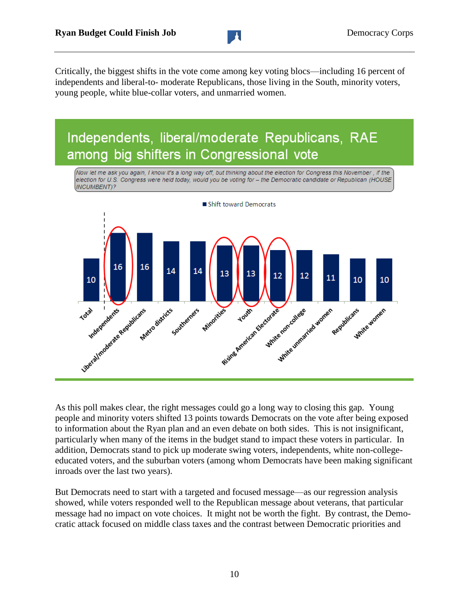Critically, the biggest shifts in the vote come among key voting blocs—including 16 percent of independents and liberal-to- moderate Republicans, those living in the South, minority voters, young people, white blue-collar voters, and unmarried women.

### Independents, liberal/moderate Republicans, RAE among big shifters in Congressional vote

Now let me ask you again, I know it's a long way off, but thinking about the election for Congress this November , if the election for U.S. Congress were held today, would you be voting for - the Democratic candidate or Republican (HOUSE INCUMBENT)?



As this poll makes clear, the right messages could go a long way to closing this gap. Young people and minority voters shifted 13 points towards Democrats on the vote after being exposed to information about the Ryan plan and an even debate on both sides. This is not insignificant, particularly when many of the items in the budget stand to impact these voters in particular. In addition, Democrats stand to pick up moderate swing voters, independents, white non-collegeeducated voters, and the suburban voters (among whom Democrats have been making significant inroads over the last two years).

But Democrats need to start with a targeted and focused message—as our regression analysis showed, while voters responded well to the Republican message about veterans, that particular message had no impact on vote choices. It might not be worth the fight. By contrast, the Democratic attack focused on middle class taxes and the contrast between Democratic priorities and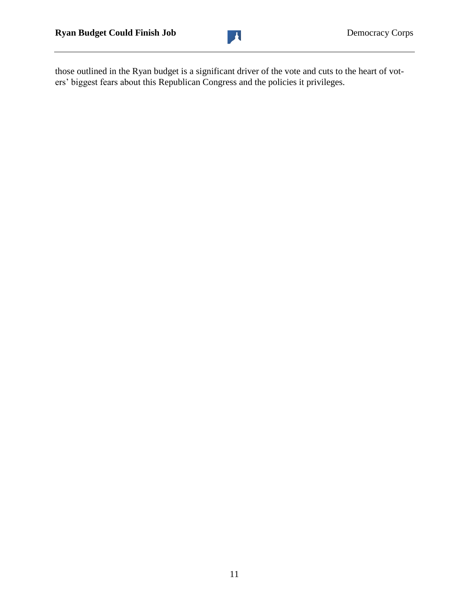

those outlined in the Ryan budget is a significant driver of the vote and cuts to the heart of voters' biggest fears about this Republican Congress and the policies it privileges.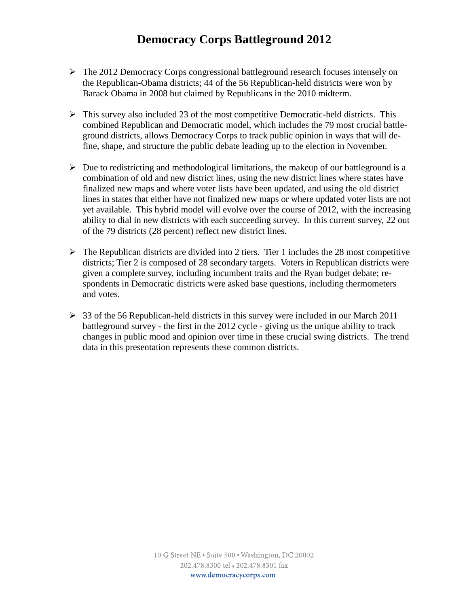### **Democracy Corps Battleground 2012**

- The 2012 Democracy Corps congressional battleground research focuses intensely on the Republican-Obama districts; 44 of the 56 Republican-held districts were won by Barack Obama in 2008 but claimed by Republicans in the 2010 midterm.
- $\triangleright$  This survey also included 23 of the most competitive Democratic-held districts. This combined Republican and Democratic model, which includes the 79 most crucial battleground districts, allows Democracy Corps to track public opinion in ways that will define, shape, and structure the public debate leading up to the election in November.
- $\triangleright$  Due to redistricting and methodological limitations, the makeup of our battleground is a combination of old and new district lines, using the new district lines where states have finalized new maps and where voter lists have been updated, and using the old district lines in states that either have not finalized new maps or where updated voter lists are not yet available. This hybrid model will evolve over the course of 2012, with the increasing ability to dial in new districts with each succeeding survey. In this current survey, 22 out of the 79 districts (28 percent) reflect new district lines.
- $\triangleright$  The Republican districts are divided into 2 tiers. Tier 1 includes the 28 most competitive districts; Tier 2 is composed of 28 secondary targets. Voters in Republican districts were given a complete survey, including incumbent traits and the Ryan budget debate; respondents in Democratic districts were asked base questions, including thermometers and votes.
- $\geq$  33 of the 56 Republican-held districts in this survey were included in our March 2011 battleground survey - the first in the 2012 cycle - giving us the unique ability to track changes in public mood and opinion over time in these crucial swing districts. The trend data in this presentation represents these common districts.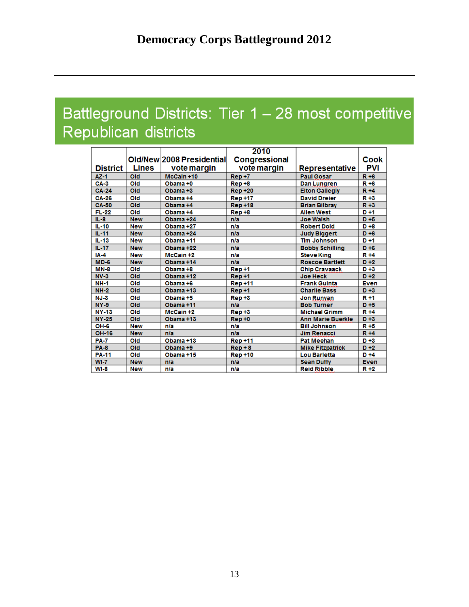## Battleground Districts: Tier 1 - 28 most competitive Republican districts

| <b>District</b> | Lines      | Old/New 2008 Presidential<br>vote margin | 2010<br>Congressional<br>vote margin | Representative           | Cook<br>PVI |
|-----------------|------------|------------------------------------------|--------------------------------------|--------------------------|-------------|
| $AZ-1$          | Old        | McCain +10                               | Rep+7                                | <b>Paul Gosar</b>        | $R + 6$     |
| $CA-3$          | Old        | Obama +0                                 | Rep+8                                | Dan Lungren              | $R + 6$     |
| <b>CA-24</b>    | Old        | Obama +3                                 | <b>Rep +20</b>                       | <b>Elton Gallegly</b>    | $R + 4$     |
| <b>CA-26</b>    | Old        | Obama +4                                 | <b>Rep +17</b>                       | <b>David Dreier</b>      | R +3        |
| <b>CA-50</b>    | Old        | Obama +4                                 | <b>Rep +18</b>                       | <b>Brian Bilbray</b>     | $R + 3$     |
| $FL-22$         | Old        | Obama +4                                 | $Rep+8$                              | <b>Allen West</b>        | $D + 1$     |
| $II - 8$        | <b>New</b> | Obama +24                                | n/a                                  | <b>Joe Walsh</b>         | $D + 5$     |
| $IL-10$         | <b>New</b> | Obama +27                                | n/a                                  | <b>Robert Dold</b>       | $D + 8$     |
| $IL-11$         | <b>New</b> | Obama +24                                | n/a                                  | <b>Judy Biggert</b>      | $D + 6$     |
| II.43           | <b>New</b> | Obama +11                                | n/a                                  | <b>Tim Johnson</b>       | $D + 1$     |
| $IL-17$         | <b>New</b> | Obama +22                                | n/a                                  | <b>Bobby Schilling</b>   | $D + 6$     |
| $IA-4$          | <b>New</b> | $McGain + 2$                             | n/a                                  | <b>Steve King</b>        | $R + 4$     |
| $MD-6$          | <b>New</b> | Obama +14                                | n/a                                  | <b>Roscoe Bartlett</b>   | $D+2$       |
| $MN-8$          | Old        | Obama +8                                 | Rep+1                                | <b>Chip Cravaack</b>     | $D+3$       |
| $NV-3$          | Old        | Obama +12                                | Rep+1                                | <b>Joe Heck</b>          | $D+2$       |
| <b>NH-1</b>     | Old        | Obama +6                                 | <b>Rep +11</b>                       | <b>Frank Guinta</b>      | <b>Even</b> |
| $NH-2$          | Old        | Obama +13                                | Rep+1                                | <b>Charlie Bass</b>      | $D+3$       |
| $NJ-3$          | Old        | Obama +5                                 | $Rep+3$                              | <b>Jon Runyan</b>        | $R + 1$     |
| $NY-9$          | Old        | Obama +11                                | n/a                                  | <b>Bob Turner</b>        | $D + 5$     |
| <b>NY-13</b>    | Old        | $McGain + 2$                             | $Rep+3$                              | <b>Michael Grimm</b>     | $R + 4$     |
| <b>NY-25</b>    | Old        | Obama +13                                | $Rep + 0$                            | <b>Ann Marie Buerkle</b> | $D + 3$     |
| OH-6            | <b>New</b> | n/a                                      | n/a                                  | <b>Bill Johnson</b>      | R+5         |
| <b>OH-16</b>    | <b>New</b> | n/a                                      | n/a                                  | <b>Jim Renacci</b>       | $R + 4$     |
| <b>PA-7</b>     | Old        | Obama +13                                | <b>Rep +11</b>                       | <b>Pat Meehan</b>        | $D+3$       |
| <b>PA-8</b>     | Old        | Obama +9                                 | $Rep + 8$                            | <b>Mike Fitzpatrick</b>  | $D + 2$     |
| <b>PA-11</b>    | Old        | Obama +15                                | <b>Rep +10</b>                       | <b>Lou Barletta</b>      | $D + 4$     |
| $W1-7$          | <b>New</b> | n/a                                      | n/a                                  | <b>Sean Duffy</b>        | <b>Even</b> |
| $WI-8$          | <b>New</b> | n/a                                      | n/a                                  | <b>Reid Ribble</b>       | $R + 2$     |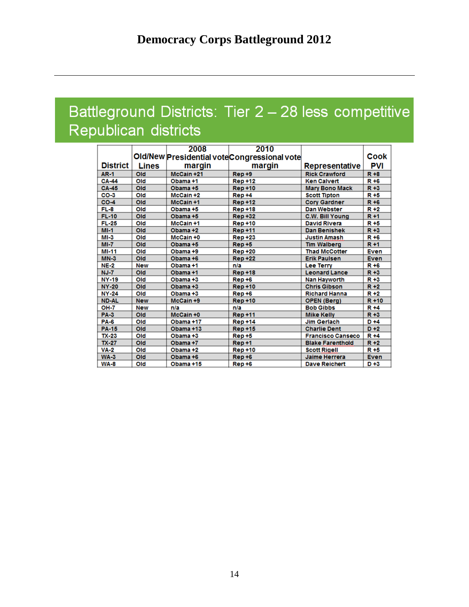## Battleground Districts: Tier 2 - 28 less competitive Republican districts

|              |              | 2008         | 2010                                         |                          |             |
|--------------|--------------|--------------|----------------------------------------------|--------------------------|-------------|
|              |              |              | Old/New Presidential vote Congressional vote |                          | Cook        |
| District     | <b>Lines</b> | margin       | margin                                       | Representative           | PVI         |
| <b>AR-1</b>  | Old          | McCain +21   | $Rep+9$                                      | <b>Rick Crawford</b>     | $R + 8$     |
| <b>CA-44</b> | Old          | Obama +1     | <b>Rep +12</b>                               | <b>Ken Calvert</b>       | $R + 6$     |
| <b>CA-45</b> | Old          | Obama +5     | <b>Rep +10</b>                               | <b>Mary Bono Mack</b>    | $R + 3$     |
| $CO-3$       | Old          | $McGain + 2$ | Rep+4                                        | <b>Scott Tipton</b>      | R+5         |
| $CO-4$       | Old          | McCain +1    | <b>Rep +12</b>                               | <b>Cory Gardner</b>      | $R + 6$     |
| FL-8         | Old          | Obama +5     | <b>Rep +18</b>                               | <b>Dan Webster</b>       | $R + 2$     |
| <b>FL-10</b> | Old          | Obama +5     | <b>Rep +32</b>                               | <b>C.W. Bill Young</b>   | $R + 1$     |
| $FL-25$      | Old          | McCain +1    | <b>Rep +10</b>                               | <b>David Rivera</b>      | $R + 5$     |
| $MI-1$       | Old          | Obama +2     | <b>Rep +11</b>                               | <b>Dan Benishek</b>      | $R + 3$     |
| $MI-3$       | Old          | $McGain + 0$ | <b>Rep +23</b>                               | <b>Justin Amash</b>      | R +6        |
| $MI - 7$     | Old          | Obama +5     | $Rep + 5$                                    | <b>Tim Walberg</b>       | $R + 1$     |
| <b>MI-11</b> | Old          | Obama +9     | <b>Rep +20</b>                               | <b>Thad McCotter</b>     | Even        |
| $MN-3$       | Old          | Obama +6     | <b>Rep +22</b>                               | <b>Erik Paulsen</b>      | <b>Even</b> |
| $NE-2$       | <b>New</b>   | Obama +1     | n/a                                          | <b>Lee Terry</b>         | $R + 6$     |
| $NJ - 7$     | Old          | Obama +1     | <b>Rep +18</b>                               | <b>Leonard Lance</b>     | $R + 3$     |
| <b>NY-19</b> | Old          | Obama +3     | $Rep+6$                                      | Nan Hayworth             | R+3         |
| <b>NY-20</b> | Old          | Obama +3     | <b>Rep +10</b>                               | <b>Chris Gibson</b>      | $R + 2$     |
| <b>NY-24</b> | Old          | Obama +3     | $Rep+6$                                      | <b>Richard Hanna</b>     | $R + 2$     |
| <b>ND-AL</b> | <b>New</b>   | McCain +9    | <b>Rep +10</b>                               | <b>OPEN (Berg)</b>       | $R + 10$    |
| <b>OH-7</b>  | <b>New</b>   | n/a          | n/a                                          | <b>Bob Gibbs</b>         | R +4        |
| <b>PA-3</b>  | Old          | McCain +0    | <b>Rep +11</b>                               | <b>Mike Kelly</b>        | $R + 3$     |
| <b>PA-6</b>  | Old          | Obama +17    | <b>Rep +14</b>                               | <b>Jim Gerlach</b>       | $D + 4$     |
| <b>PA-15</b> | Old          | Obama +13    | <b>Rep +15</b>                               | <b>Charlie Dent</b>      | $D+2$       |
| <b>TX-23</b> | Old          | Obama +3     | $Rep+5$                                      | <b>Francisco Canseco</b> | $R + 4$     |
| $TX-27$      | Old          | Obama +7     | Rep+1                                        | <b>Blake Farenthold</b>  | $R + 2$     |
| <b>VA-2</b>  | Old          | Obama +2     | <b>Rep +10</b>                               | <b>Scott Rigell</b>      | R+5         |
| $WA-3$       | Old          | Obama +6     | Rep+6                                        | <b>Jaime Herrera</b>     | <b>Even</b> |
| <b>WA-8</b>  | Old          | Obama +15    | $Rep+6$                                      | <b>Dave Reichert</b>     | $D+3$       |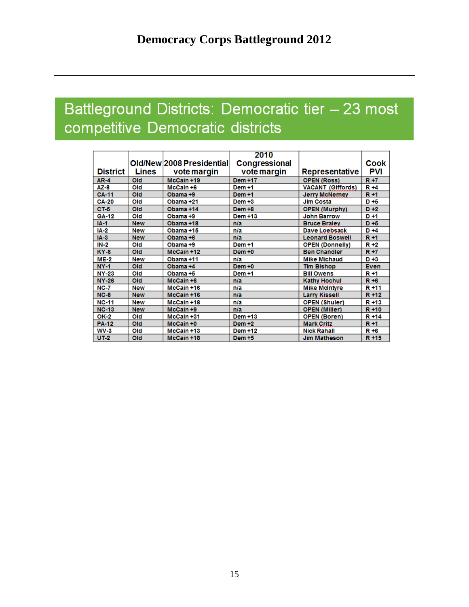## Battleground Districts: Democratic tier - 23 most competitive Democratic districts

|                 |              | 2010                      |                |                          |             |
|-----------------|--------------|---------------------------|----------------|--------------------------|-------------|
|                 |              | Old/New 2008 Presidential | Congressional  |                          | Cook        |
| <b>District</b> | <b>Lines</b> | vote margin               | vote margin    | Representative           | PVI         |
| <b>AR-4</b>     | Old          | McCain +19                | Dem +17        | <b>OPEN (Ross)</b>       | $R + 7$     |
| AZ-8            | Old          | McCain +6                 | Dem +1         | <b>VACANT (Giffords)</b> | R +4        |
| <b>CA-11</b>    | Old          | Obama +9                  | Dem+1          | <b>Jerry McNemey</b>     | R+1         |
| <b>CA-20</b>    | Old          | Obama +21                 | $Dem + 3$      | <b>Jim Costa</b>         | $D + 5$     |
| $CT-5$          | Old          | Obama +14                 | Dem +8         | <b>OPEN (Murphy)</b>     | $D+2$       |
| <b>GA-12</b>    | Old          | Obama +9                  | Dem +13        | <b>John Barrow</b>       | $D + 1$     |
| $IA-1$          | <b>New</b>   | Obama +18                 | n/a            | <b>Bruce Braley</b>      | $D + 5$     |
| IA-2            | <b>New</b>   | Obama +15                 | n/a            | <b>Dave Loebsack</b>     | $D + 4$     |
| $IA-3$          | <b>New</b>   | Obama +6                  | n/a            | <b>Leonard Boswell</b>   | $R + 1$     |
| IN-2            | Old          | Obama +9                  | <b>Dem +1</b>  | <b>OPEN (Donnelly)</b>   | R+2         |
| <b>KY-6</b>     | Old          | McCain +12                | Dem+0          | <b>Ben Chandler</b>      | $R + 7$     |
| $ME-2$          | <b>New</b>   | Obama +11                 | n/a            | <b>Mike Michaud</b>      | $D + 3$     |
| $NY-1$          | Old          | Obama +4                  | $Dem + 0$      | <b>Tim Bishop</b>        | <b>Even</b> |
| <b>NY-23</b>    | Old          | Obama +5                  | Dem+1          | <b>Bill Owens</b>        | R +1        |
| <b>NY-26</b>    | Old          | McCain +6                 | n/a            | <b>Kathy Hochul</b>      | $R + 6$     |
| <b>NC-7</b>     | <b>New</b>   | McCain +16                | n/a            | <b>Mike McIntyre</b>     | R+11        |
| $NC-8$          | <b>New</b>   | McCain +16                | n/a            | <b>Larry Kissell</b>     | R +12       |
| <b>NC-11</b>    | <b>New</b>   | McCain +18                | n/a            | <b>OPEN (Shuler)</b>     | R +13       |
| <b>NC-13</b>    | <b>New</b>   | McCain +9                 | n/a            | <b>OPEN (Miller)</b>     | $R + 10$    |
| OK-2            | Old          | McCain +31                | <b>Dem +13</b> | <b>OPEN (Boren)</b>      | R+14        |
| <b>PA-12</b>    | Old          | McCain +0                 | <b>Dem +2</b>  | <b>Mark Critz</b>        | $R + 1$     |
| $WV-3$          | Old          | McCain +13                | <b>Dem +12</b> | <b>Nick Rahall</b>       | R +6        |
| <b>UT-2</b>     | Old          | McCain +18                | Dem +5         | Jim Matheson             | R+15        |